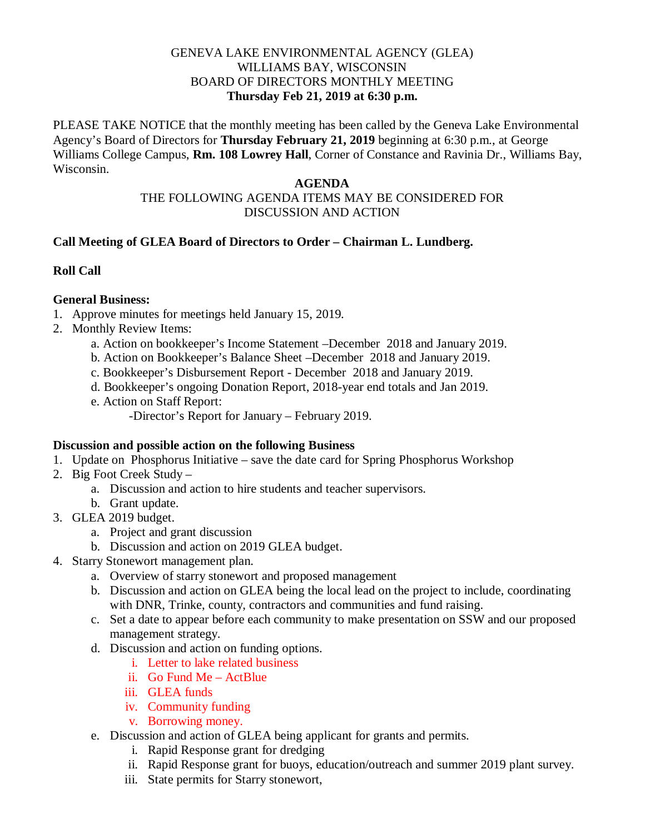### GENEVA LAKE ENVIRONMENTAL AGENCY (GLEA) WILLIAMS BAY, WISCONSIN BOARD OF DIRECTORS MONTHLY MEETING **Thursday Feb 21, 2019 at 6:30 p.m.**

PLEASE TAKE NOTICE that the monthly meeting has been called by the Geneva Lake Environmental Agency's Board of Directors for **Thursday February 21, 2019** beginning at 6:30 p.m., at George Williams College Campus, **Rm. 108 Lowrey Hall**, Corner of Constance and Ravinia Dr., Williams Bay, Wisconsin.

#### **AGENDA**

# THE FOLLOWING AGENDA ITEMS MAY BE CONSIDERED FOR DISCUSSION AND ACTION

## **Call Meeting of GLEA Board of Directors to Order – Chairman L. Lundberg.**

# **Roll Call**

### **General Business:**

- 1. Approve minutes for meetings held January 15, 2019.
- 2. Monthly Review Items:
	- a. Action on bookkeeper's Income Statement –December 2018 and January 2019.
	- b. Action on Bookkeeper's Balance Sheet –December 2018 and January 2019.
	- c. Bookkeeper's Disbursement Report December 2018 and January 2019.
	- d. Bookkeeper's ongoing Donation Report, 2018-year end totals and Jan 2019.
	- e. Action on Staff Report:
		- -Director's Report for January February 2019.

## **Discussion and possible action on the following Business**

- 1. Update on Phosphorus Initiative save the date card for Spring Phosphorus Workshop
- 2. Big Foot Creek Study
	- a. Discussion and action to hire students and teacher supervisors.
	- b. Grant update.
- 3. GLEA 2019 budget.
	- a. Project and grant discussion
	- b. Discussion and action on 2019 GLEA budget.
- 4. Starry Stonewort management plan.
	- a. Overview of starry stonewort and proposed management
	- b. Discussion and action on GLEA being the local lead on the project to include, coordinating with DNR, Trinke, county, contractors and communities and fund raising.
	- c. Set a date to appear before each community to make presentation on SSW and our proposed management strategy.
	- d. Discussion and action on funding options.
		- i. Letter to lake related business
		- ii. Go Fund Me ActBlue
		- iii. GLEA funds
		- iv. Community funding
		- v. Borrowing money.
	- e. Discussion and action of GLEA being applicant for grants and permits.
		- i. Rapid Response grant for dredging
		- ii. Rapid Response grant for buoys, education/outreach and summer 2019 plant survey.
		- iii. State permits for Starry stonewort,